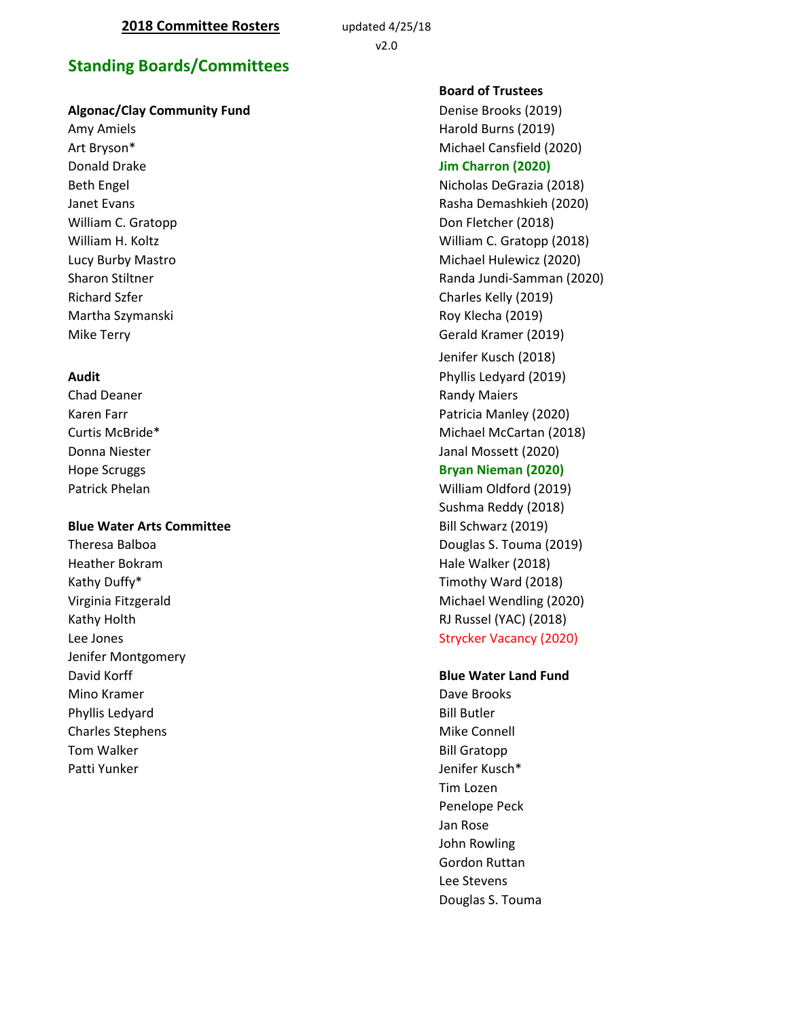# **Standing Boards/Committees**

## **Algonac/Clay Community Fund Denise Brooks (2019)** Denise Brooks (2019)

Donald Drake **Jim Charron (2020)** Martha Szymanski **Martha Szymanski** Roy Klecha (2019)

Chad Deaner **Randy Maiers Randy Maiers Randy Maiers** 

#### **Blue Water Arts Committee Bill Schwarz (2019)**

Heather Bokram Hale Walker (2018) Kathy Duffy\* Timothy Ward (2018) Kathy Holth RJ Russel (YAC) (2018) Jenifer Montgomery Mino Kramer **Dave Brooks** Phyllis Ledyard **Bill Butler** Bill Butler Charles Stephens **Mike Connell** Tom Walker **Bill Gratopp** Patti Yunker Jenifer Kusch\* Jenifer Kusch\* Jenifer Kusch\* Jenifer Kusch

**Board of Trustees**  Amy Amiels **Harold Burns (2019) Harold Burns (2019**) Art Bryson\* **Michael Cansfield** (2020) Beth Engel Nicholas DeGrazia (2018) Janet Evans Rasha Demashkieh (2020) William C. Gratopp **Don Fletcher (2018)** William H. Koltz **William C. Gratopp (2018)** Lucy Burby Mastro Michael Hulewicz (2020) Sharon Stiltner **Randa Jundi-Samman (2020)** Randa Jundi-Samman (2020) Richard Szfer Charles Kelly (2019) Mike Terry Gerald Kramer (2019) Jenifer Kusch (2018) **Audit** Phyllis Ledyard (2019) Karen Farr **Patricia Manley (2020)** Curtis McBride\* **Michael McCartan (2018)** Michael McCartan (2018) Donna Niester Janal Mossett (2020) Hope Scruggs **Bryan Nieman (2020)** Patrick Phelan William Oldford (2019) Sushma Reddy (2018) Theresa Balboa **Douglas S. Touma** (2019) Virginia Fitzgerald Michael Wendling (2020)

Lee Jones **Strycker Vacancy (2020)** 

#### David Korff **Blue Water Land Fund**

Tim Lozen Penelope Peck Jan Rose John Rowling Gordon Ruttan Lee Stevens Douglas S. Touma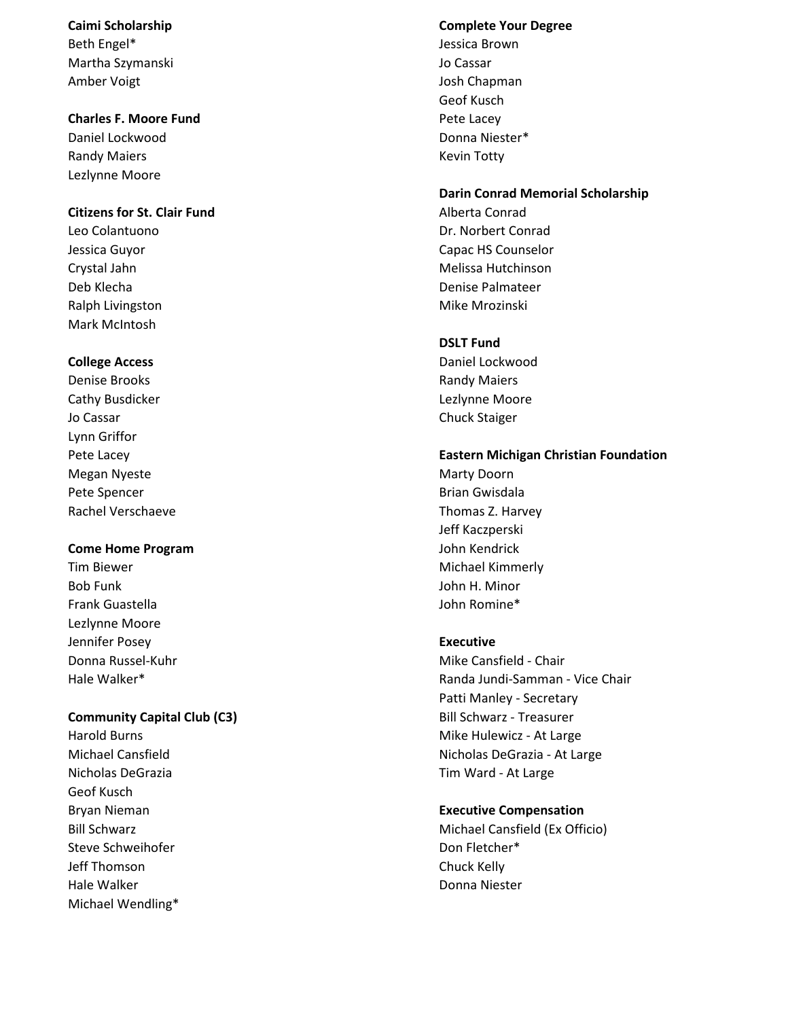Beth Engel\* Jessica Brown Martha Szymanski Jo Cassar Amber Voigt **Josh Chapman** 

#### **Charles F. Moore Fund Pete Lacey Pete Lacey**

Daniel Lockwood Donna Niester\* Randy Maiers **Key Account Contract Contract Contract Contract Contract Contract Contract Contract Contract Contract Contract Contract Contract Contract Contract Contract Contract Contract Contract Contract Contract Contrac** Lezlynne Moore

## **Citizens for St. Clair Fund** Alberta Conrad

Ralph Livingston Mike Mrozinski Mark McIntosh

Denise Brooks Randy Maiers Cathy Busdicker Lezlynne Moore Jo Cassar Chuck Staiger Lynn Griffor Megan Nyeste Marty Doorn and Marty Doorn and Marty Doorn and Marty Doorn and Marty Doorn and Marty Doorn and Marty Doorn and Marty Doorn and Marty Doorn and Marty Doorn and Marty Doorn and Marty Doorn and Marty Doorn and M Pete Spencer Brian Gwisdala Rachel Verschaeve Thomas Z. Harvey

## **Come Home Program** John Kendrick

Tim Biewer Michael Kimmerly Bob Funk John H. Minor Frank Guastella John Romine\* Lezlynne Moore Jennifer Posey **Executive** 

## **Community Capital Club (C3) Bill Schwarz - Treasurer**

Nicholas DeGrazia Tim Ward - At Large Geof Kusch Steve Schweihofer North Christian Communication of the Don Fletcher\* Jeff Thomson Chuck Kelly Hale Walker **Nights and Science and Science and Science and Science and Science and Science and Science and Science and Science and Science and Science and Science and Science and Science and Science and Science and Scienc** Michael Wendling\*

#### **Caimi Scholarship Complete Your Degree**

Geof Kusch

#### **Darin Conrad Memorial Scholarship**

Leo Colantuono Dr. Norbert Conrad Jessica Guyor Capac HS Counselor Crystal Jahn Melissa Hutchinson Nellissa Hutchinson Deb Klecha Denise Palmateer

## **DSLT Fund**

**College Access College Access Daniel Lockwood** 

#### Pete Lacey **Eastern Michigan Christian Foundation**

Jeff Kaczperski

Donna Russel-Kuhr Mike Cansfield - Chair Hale Walker\* Randa Jundi-Samman - Vice Chair Patti Manley - Secretary Harold Burns **Mike Hulewicz** - At Large Michael Cansfield **Nicholas DeGrazia - At Large** 

#### Bryan Nieman **Executive Compensation**

Bill Schwarz Michael Cansfield (Ex Officio)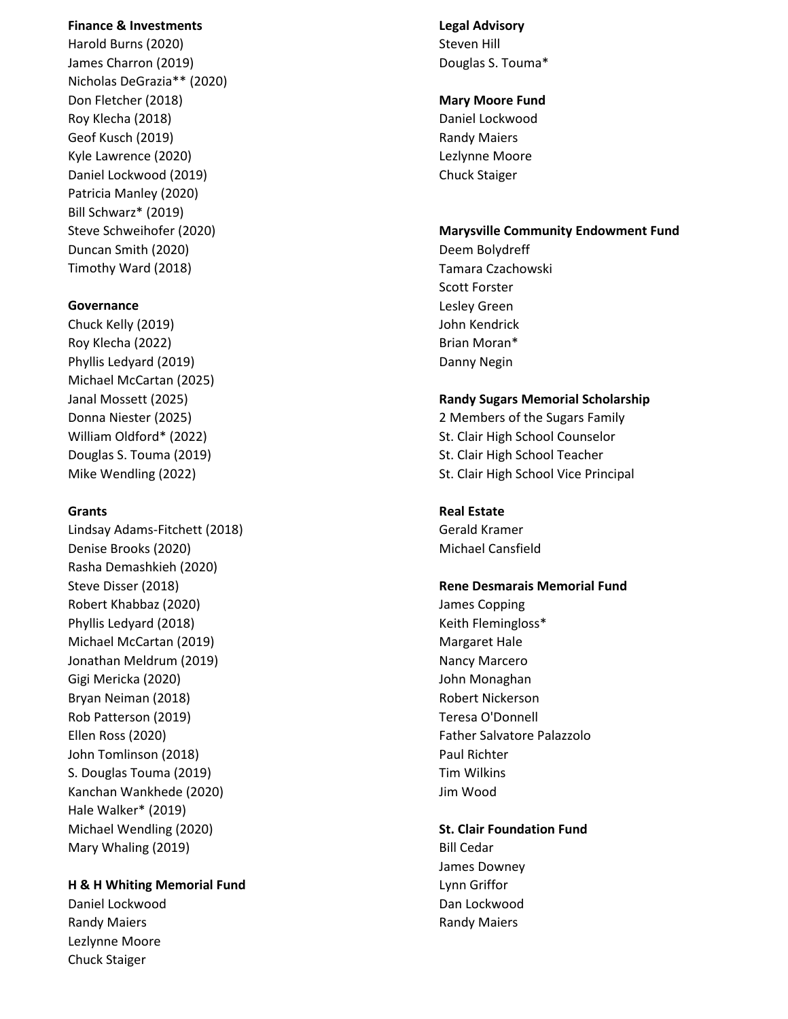#### **Finance & Investments Legal Advisory**

Harold Burns (2020) No. 3 (2020) Steven Hill Steven Hill Steven Hill Steven Hill Steven Hill Steven Hill Steven Hill Steven Hill Steven Hill Steven Hill Steven Hill Steven Hill Steven Hill Steven Hill Steven Hill Steven Hi James Charron (2019) **Douglas S. Touma** \* Nicholas DeGrazia\*\* (2020) Don Fletcher (2018) **Mary Moore Fund** Roy Klecha (2018) **Daniel Lockwood** Geof Kusch (2019) **Randy Maiers Randy Maiers Randy Maiers** Kyle Lawrence (2020) Lezlynne Moore Daniel Lockwood (2019) Chuck Staiger Patricia Manley (2020) Bill Schwarz\* (2019) Duncan Smith (2020) Deem Bolydreff Timothy Ward (2018) Tamara Czachowski

Chuck Kelly (2019) John Kendrick Roy Klecha (2022) **Brian Moran**\* Phyllis Ledyard (2019) Danny Negin Michael McCartan (2025)

Lindsay Adams-Fitchett (2018) Gerald Kramer Denise Brooks (2020) and the Canstillation of the Michael Cansfield Rasha Demashkieh (2020) Robert Khabbaz (2020) James Copping Phyllis Ledyard (2018) The Contract Contract Contract Contract Contract Contract Contract Contract Contract Contract Contract Contract Contract Contract Contract Contract Contract Contract Contract Contract Contract Contra Michael McCartan (2019) Michael Margaret Hale Jonathan Meldrum (2019) Nancy Marcero Gigi Mericka (2020) John Monaghan Bryan Neiman (2018) **Robert Nickerson** Robert Nickerson Rob Patterson (2019) Teresa O'Donnell Ellen Ross (2020) Father Salvatore Palazzolo John Tomlinson (2018) **Paul Richter** Paul Richter S. Douglas Touma (2019) S. Douglas Touma (2019) S. Douglas Tim Wilkins Kanchan Wankhede (2020) Jim Wood Hale Walker\* (2019) Michael Wendling (2020) **St. Clair Foundation Fund** Mary Whaling (2019) **Bill Cedar** 

## **H & H Whiting Memorial Fund Lynn Griffor**

Daniel Lockwood Dan Lockwood Randy Maiers **Randy Maiers Randy Maiers Randy Maiers Randy Maiers** Lezlynne Moore Chuck Staiger

## Steve Schweihofer (2020) **Marysville Community Endowment Fund**

Scott Forster **Governance** Lesley Green

#### Janal Mossett (2025) **Randy Sugars Memorial Scholarship**

Donna Niester (2025) 2 Members of the Sugars Family William Oldford\* (2022) St. Clair High School Counselor Douglas S. Touma (2019) St. Clair High School Teacher Mike Wendling (2022) Mike Wendling (2022)

## **Grants Real Estate**

# Steve Disser (2018) **Rene Desmarais Memorial Fund**

# James Downey